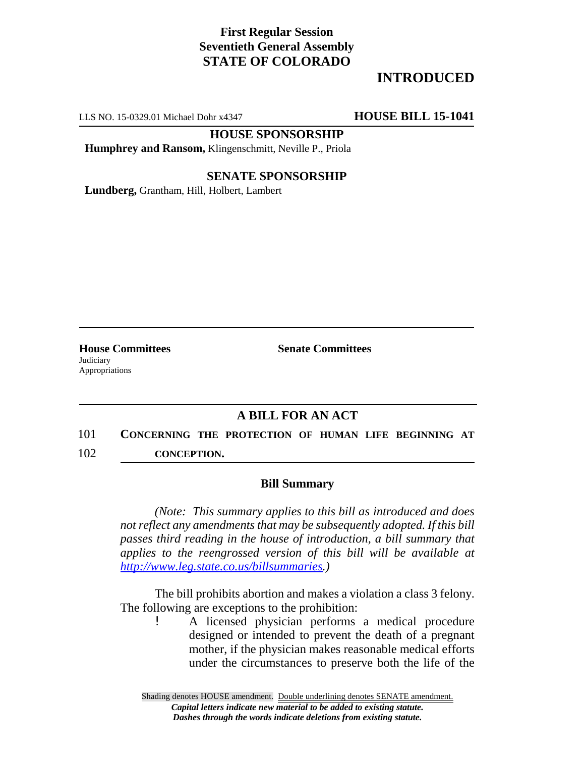## **First Regular Session Seventieth General Assembly STATE OF COLORADO**

## **INTRODUCED**

LLS NO. 15-0329.01 Michael Dohr x4347 **HOUSE BILL 15-1041**

**HOUSE SPONSORSHIP**

**Humphrey and Ransom,** Klingenschmitt, Neville P., Priola

#### **SENATE SPONSORSHIP**

**Lundberg,** Grantham, Hill, Holbert, Lambert

**Judiciary** Appropriations

**House Committees Senate Committees** 

### **A BILL FOR AN ACT**

# 101 **CONCERNING THE PROTECTION OF HUMAN LIFE BEGINNING AT**

102 **CONCEPTION.**

#### **Bill Summary**

*(Note: This summary applies to this bill as introduced and does not reflect any amendments that may be subsequently adopted. If this bill passes third reading in the house of introduction, a bill summary that applies to the reengrossed version of this bill will be available at http://www.leg.state.co.us/billsummaries.)*

The bill prohibits abortion and makes a violation a class 3 felony. The following are exceptions to the prohibition:

! A licensed physician performs a medical procedure designed or intended to prevent the death of a pregnant mother, if the physician makes reasonable medical efforts under the circumstances to preserve both the life of the

Shading denotes HOUSE amendment. Double underlining denotes SENATE amendment. *Capital letters indicate new material to be added to existing statute. Dashes through the words indicate deletions from existing statute.*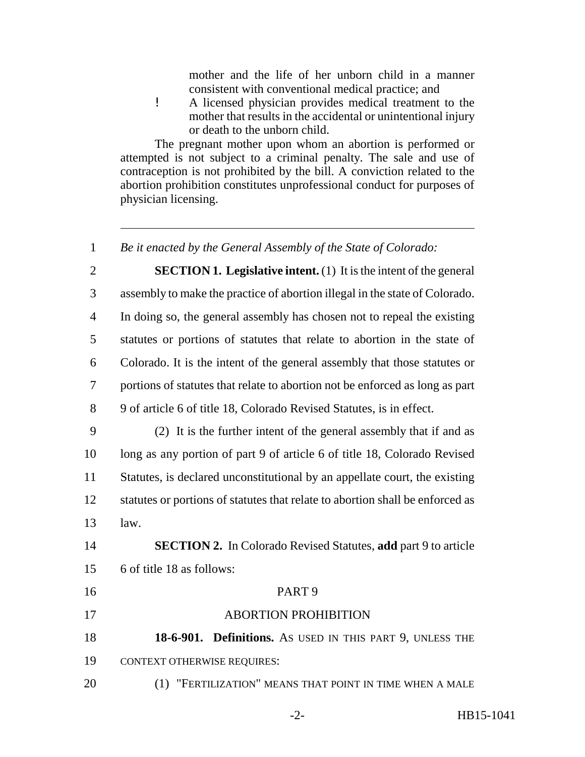mother and the life of her unborn child in a manner consistent with conventional medical practice; and

! A licensed physician provides medical treatment to the mother that results in the accidental or unintentional injury or death to the unborn child.

The pregnant mother upon whom an abortion is performed or attempted is not subject to a criminal penalty. The sale and use of contraception is not prohibited by the bill. A conviction related to the abortion prohibition constitutes unprofessional conduct for purposes of physician licensing.

*Be it enacted by the General Assembly of the State of Colorado:*

 **SECTION 1. Legislative intent.** (1) It is the intent of the general assembly to make the practice of abortion illegal in the state of Colorado. In doing so, the general assembly has chosen not to repeal the existing statutes or portions of statutes that relate to abortion in the state of Colorado. It is the intent of the general assembly that those statutes or portions of statutes that relate to abortion not be enforced as long as part 9 of article 6 of title 18, Colorado Revised Statutes, is in effect.

 (2) It is the further intent of the general assembly that if and as 10 long as any portion of part 9 of article 6 of title 18, Colorado Revised Statutes, is declared unconstitutional by an appellate court, the existing statutes or portions of statutes that relate to abortion shall be enforced as law.

 **SECTION 2.** In Colorado Revised Statutes, **add** part 9 to article 6 of title 18 as follows:

 PART 9 ABORTION PROHIBITION **18-6-901. Definitions.** AS USED IN THIS PART 9, UNLESS THE CONTEXT OTHERWISE REQUIRES:

(1) "FERTILIZATION" MEANS THAT POINT IN TIME WHEN A MALE

-2- HB15-1041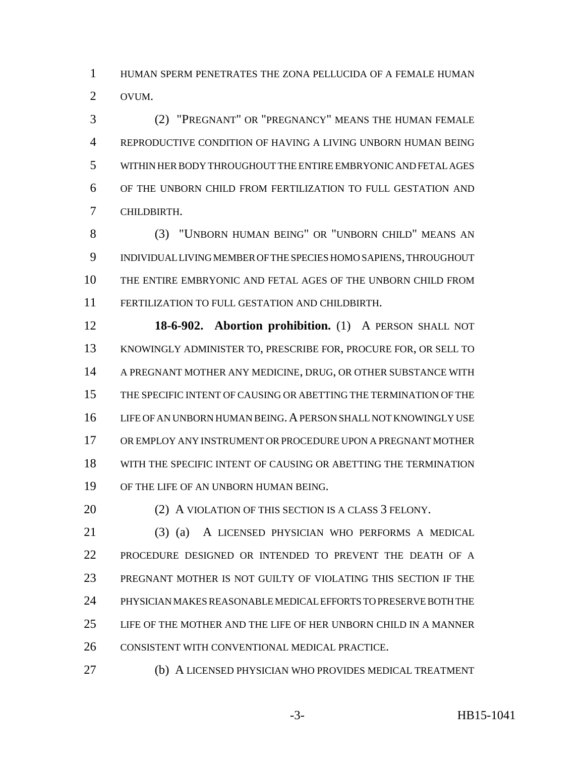HUMAN SPERM PENETRATES THE ZONA PELLUCIDA OF A FEMALE HUMAN OVUM.

 (2) "PREGNANT" OR "PREGNANCY" MEANS THE HUMAN FEMALE REPRODUCTIVE CONDITION OF HAVING A LIVING UNBORN HUMAN BEING WITHIN HER BODY THROUGHOUT THE ENTIRE EMBRYONIC AND FETAL AGES OF THE UNBORN CHILD FROM FERTILIZATION TO FULL GESTATION AND CHILDBIRTH.

 (3) "UNBORN HUMAN BEING" OR "UNBORN CHILD" MEANS AN INDIVIDUAL LIVING MEMBER OF THE SPECIES HOMO SAPIENS, THROUGHOUT THE ENTIRE EMBRYONIC AND FETAL AGES OF THE UNBORN CHILD FROM FERTILIZATION TO FULL GESTATION AND CHILDBIRTH.

 **18-6-902. Abortion prohibition.** (1) A PERSON SHALL NOT KNOWINGLY ADMINISTER TO, PRESCRIBE FOR, PROCURE FOR, OR SELL TO A PREGNANT MOTHER ANY MEDICINE, DRUG, OR OTHER SUBSTANCE WITH THE SPECIFIC INTENT OF CAUSING OR ABETTING THE TERMINATION OF THE LIFE OF AN UNBORN HUMAN BEING.A PERSON SHALL NOT KNOWINGLY USE OR EMPLOY ANY INSTRUMENT OR PROCEDURE UPON A PREGNANT MOTHER WITH THE SPECIFIC INTENT OF CAUSING OR ABETTING THE TERMINATION OF THE LIFE OF AN UNBORN HUMAN BEING.

20 (2) A VIOLATION OF THIS SECTION IS A CLASS 3 FELONY.

 (3) (a) A LICENSED PHYSICIAN WHO PERFORMS A MEDICAL PROCEDURE DESIGNED OR INTENDED TO PREVENT THE DEATH OF A PREGNANT MOTHER IS NOT GUILTY OF VIOLATING THIS SECTION IF THE PHYSICIAN MAKES REASONABLE MEDICAL EFFORTS TO PRESERVE BOTH THE LIFE OF THE MOTHER AND THE LIFE OF HER UNBORN CHILD IN A MANNER CONSISTENT WITH CONVENTIONAL MEDICAL PRACTICE.

(b) A LICENSED PHYSICIAN WHO PROVIDES MEDICAL TREATMENT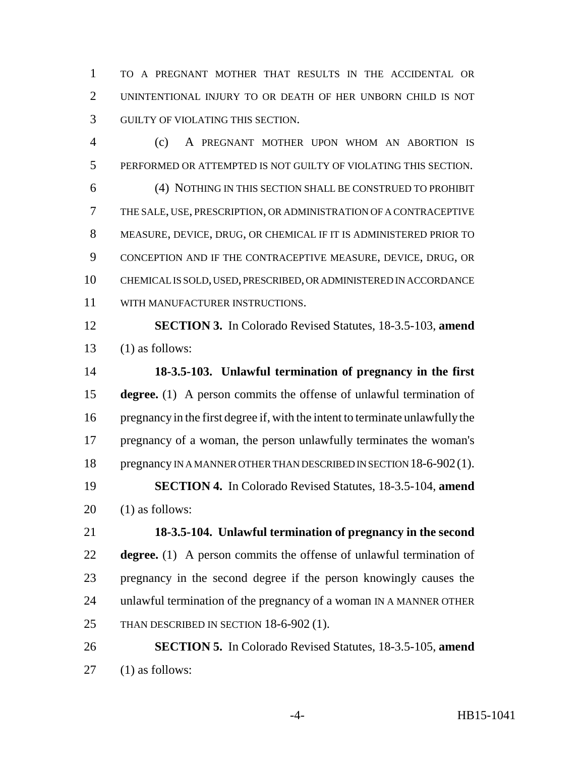TO A PREGNANT MOTHER THAT RESULTS IN THE ACCIDENTAL OR UNINTENTIONAL INJURY TO OR DEATH OF HER UNBORN CHILD IS NOT GUILTY OF VIOLATING THIS SECTION.

 (c) A PREGNANT MOTHER UPON WHOM AN ABORTION IS PERFORMED OR ATTEMPTED IS NOT GUILTY OF VIOLATING THIS SECTION. (4) NOTHING IN THIS SECTION SHALL BE CONSTRUED TO PROHIBIT THE SALE, USE, PRESCRIPTION, OR ADMINISTRATION OF A CONTRACEPTIVE MEASURE, DEVICE, DRUG, OR CHEMICAL IF IT IS ADMINISTERED PRIOR TO CONCEPTION AND IF THE CONTRACEPTIVE MEASURE, DEVICE, DRUG, OR CHEMICAL IS SOLD, USED, PRESCRIBED, OR ADMINISTERED IN ACCORDANCE WITH MANUFACTURER INSTRUCTIONS.

 **SECTION 3.** In Colorado Revised Statutes, 18-3.5-103, **amend** (1) as follows:

 **18-3.5-103. Unlawful termination of pregnancy in the first degree.** (1) A person commits the offense of unlawful termination of pregnancy in the first degree if, with the intent to terminate unlawfully the pregnancy of a woman, the person unlawfully terminates the woman's 18 pregnancy IN A MANNER OTHER THAN DESCRIBED IN SECTION 18-6-902(1). **SECTION 4.** In Colorado Revised Statutes, 18-3.5-104, **amend** (1) as follows:

 **18-3.5-104. Unlawful termination of pregnancy in the second degree.** (1) A person commits the offense of unlawful termination of pregnancy in the second degree if the person knowingly causes the unlawful termination of the pregnancy of a woman IN A MANNER OTHER 25 THAN DESCRIBED IN SECTION 18-6-902 (1).

 **SECTION 5.** In Colorado Revised Statutes, 18-3.5-105, **amend** (1) as follows: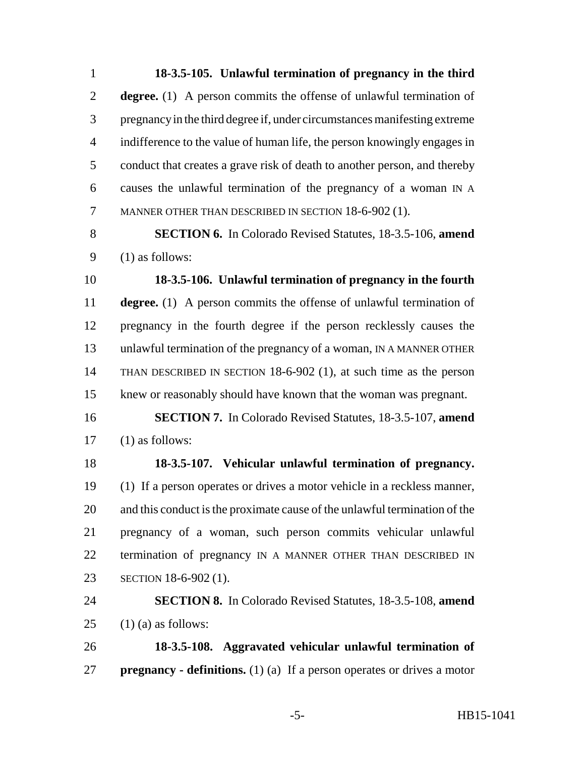**18-3.5-105. Unlawful termination of pregnancy in the third degree.** (1) A person commits the offense of unlawful termination of pregnancy in the third degree if, under circumstances manifesting extreme indifference to the value of human life, the person knowingly engages in conduct that creates a grave risk of death to another person, and thereby causes the unlawful termination of the pregnancy of a woman IN A MANNER OTHER THAN DESCRIBED IN SECTION 18-6-902 (1).

 **SECTION 6.** In Colorado Revised Statutes, 18-3.5-106, **amend** (1) as follows:

 **18-3.5-106. Unlawful termination of pregnancy in the fourth degree.** (1) A person commits the offense of unlawful termination of pregnancy in the fourth degree if the person recklessly causes the unlawful termination of the pregnancy of a woman, IN A MANNER OTHER THAN DESCRIBED IN SECTION 18-6-902 (1), at such time as the person knew or reasonably should have known that the woman was pregnant.

 **SECTION 7.** In Colorado Revised Statutes, 18-3.5-107, **amend** (1) as follows:

 **18-3.5-107. Vehicular unlawful termination of pregnancy.** (1) If a person operates or drives a motor vehicle in a reckless manner, and this conduct is the proximate cause of the unlawful termination of the pregnancy of a woman, such person commits vehicular unlawful 22 termination of pregnancy IN A MANNER OTHER THAN DESCRIBED IN SECTION 18-6-902 (1).

 **SECTION 8.** In Colorado Revised Statutes, 18-3.5-108, **amend** 25  $(1)$  (a) as follows:

 **18-3.5-108. Aggravated vehicular unlawful termination of pregnancy - definitions.** (1) (a) If a person operates or drives a motor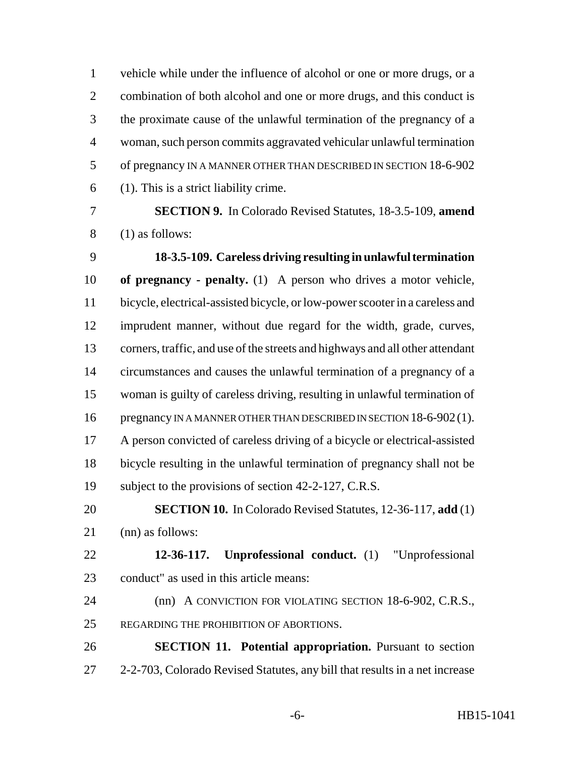vehicle while under the influence of alcohol or one or more drugs, or a 2 combination of both alcohol and one or more drugs, and this conduct is the proximate cause of the unlawful termination of the pregnancy of a woman, such person commits aggravated vehicular unlawful termination of pregnancy IN A MANNER OTHER THAN DESCRIBED IN SECTION 18-6-902 (1). This is a strict liability crime.

 **SECTION 9.** In Colorado Revised Statutes, 18-3.5-109, **amend** (1) as follows:

 **18-3.5-109. Careless driving resulting in unlawful termination of pregnancy - penalty.** (1) A person who drives a motor vehicle, bicycle, electrical-assisted bicycle, or low-power scooter in a careless and imprudent manner, without due regard for the width, grade, curves, corners, traffic, and use of the streets and highways and all other attendant circumstances and causes the unlawful termination of a pregnancy of a woman is guilty of careless driving, resulting in unlawful termination of 16 pregnancy IN A MANNER OTHER THAN DESCRIBED IN SECTION 18-6-902(1). A person convicted of careless driving of a bicycle or electrical-assisted bicycle resulting in the unlawful termination of pregnancy shall not be subject to the provisions of section 42-2-127, C.R.S.

 **SECTION 10.** In Colorado Revised Statutes, 12-36-117, **add** (1) (nn) as follows:

 **12-36-117. Unprofessional conduct.** (1) "Unprofessional conduct" as used in this article means:

 (nn) A CONVICTION FOR VIOLATING SECTION 18-6-902, C.R.S., 25 REGARDING THE PROHIBITION OF ABORTIONS.

 **SECTION 11. Potential appropriation.** Pursuant to section 2-2-703, Colorado Revised Statutes, any bill that results in a net increase